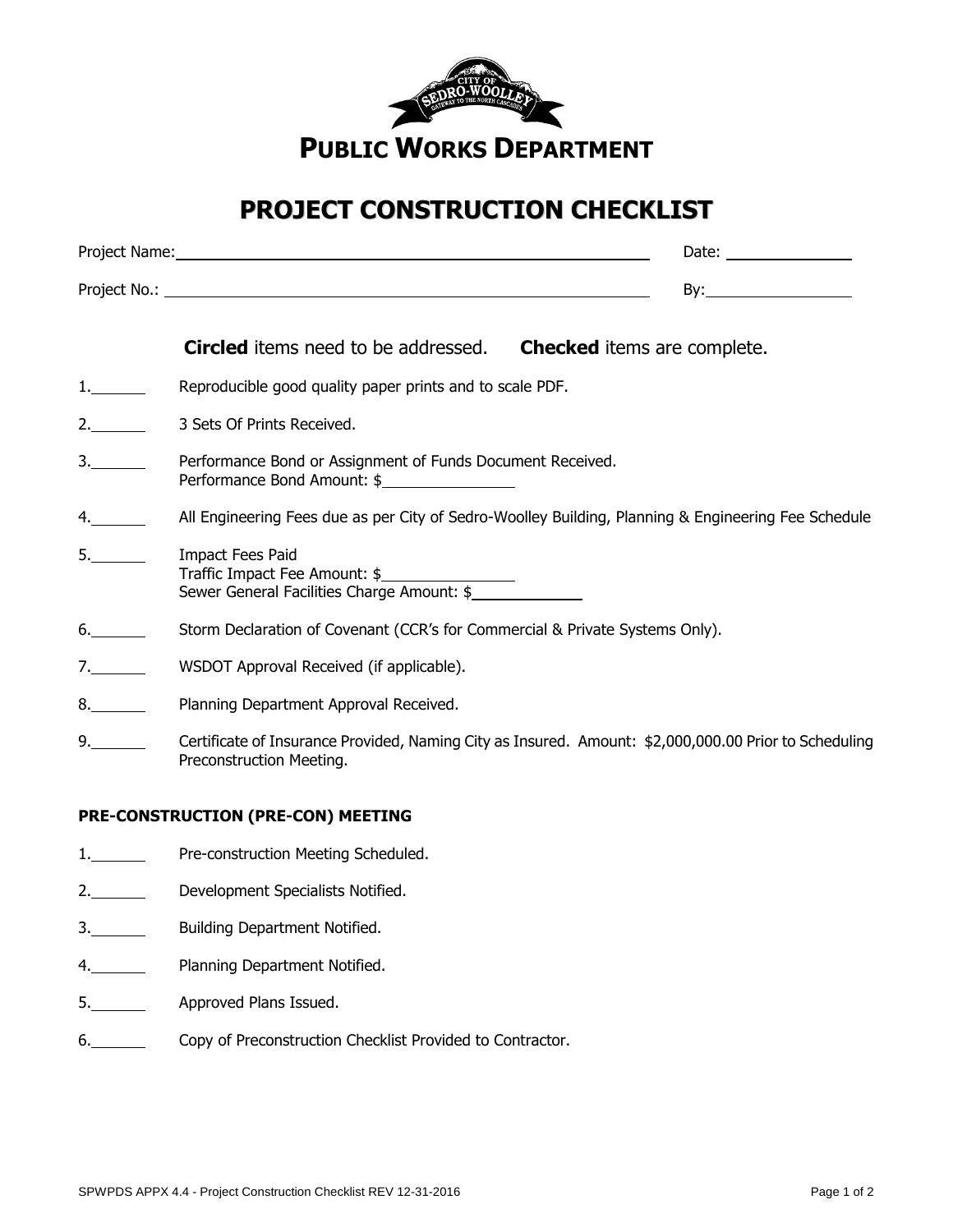

## **PROJECT CONSTRUCTION CHECKLIST**

|                     |                                                                                                     | Date: the contract of the contract of the contract of the contract of the contract of the contract of the contract of the contract of the contract of the contract of the contract of the contract of the contract of the cont |  |
|---------------------|-----------------------------------------------------------------------------------------------------|--------------------------------------------------------------------------------------------------------------------------------------------------------------------------------------------------------------------------------|--|
|                     |                                                                                                     |                                                                                                                                                                                                                                |  |
|                     | <b>Circled</b> items need to be addressed. Checked items are complete.                              |                                                                                                                                                                                                                                |  |
| $1.$ $\blacksquare$ | Reproducible good quality paper prints and to scale PDF.                                            |                                                                                                                                                                                                                                |  |
| 2.                  | 3 Sets Of Prints Received.                                                                          |                                                                                                                                                                                                                                |  |
| 3.                  | Performance Bond or Assignment of Funds Document Received.<br>Performance Bond Amount: \$           |                                                                                                                                                                                                                                |  |
| 4.                  | All Engineering Fees due as per City of Sedro-Woolley Building, Planning & Engineering Fee Schedule |                                                                                                                                                                                                                                |  |
| 5.                  | Impact Fees Paid                                                                                    |                                                                                                                                                                                                                                |  |

- 6. Storm Declaration of Covenant (CCR's for Commercial & Private Systems Only).
- 7. WSDOT Approval Received (if applicable).

Traffic Impact Fee Amount: \$

Sewer General Facilities Charge Amount: \$

- 8. Planning Department Approval Received.
- 9. Certificate of Insurance Provided, Naming City as Insured. Amount: \$2,000,000.00 Prior to Scheduling Preconstruction Meeting.

## **PRE-CONSTRUCTION (PRE-CON) MEETING**

- 1. Pre-construction Meeting Scheduled.
- 2. Development Specialists Notified.
- 3. Building Department Notified.
- 4. Planning Department Notified.
- 5. Approved Plans Issued.
- 6. Copy of Preconstruction Checklist Provided to Contractor.